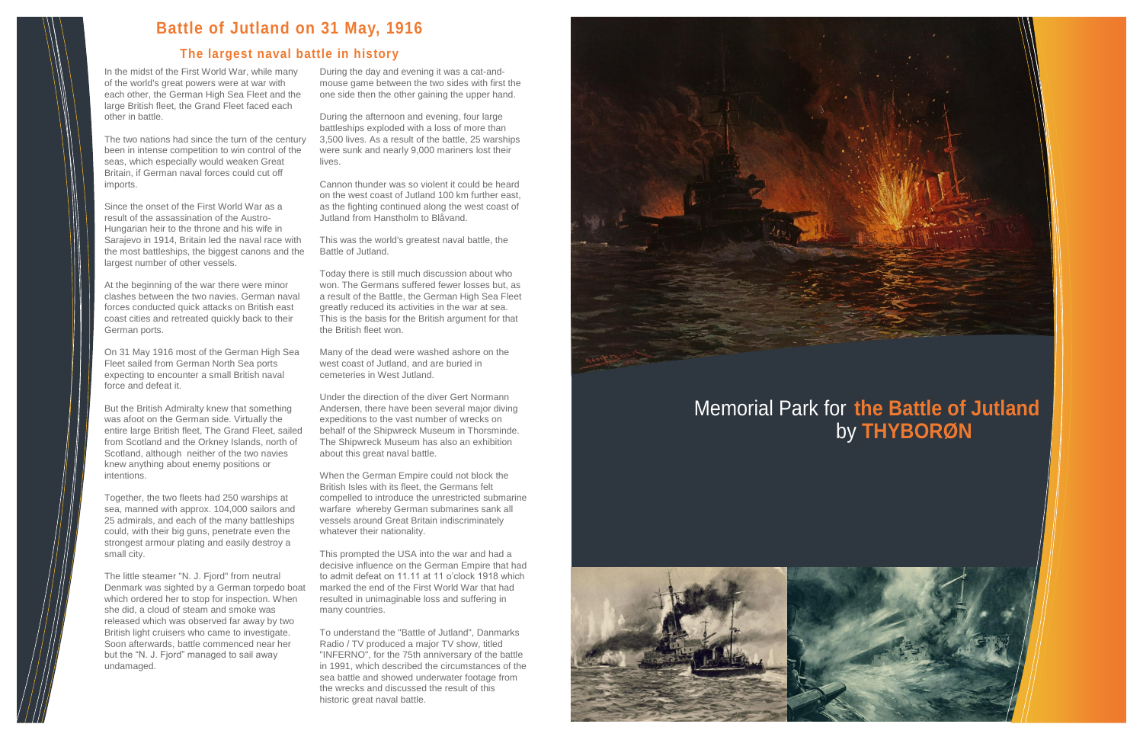In the midst of the First World War, while many of the world's great powers were at war with each other, the German High Sea Fleet and the large British fleet, the Grand Fleet faced each other in battle.

The two nations had since the turn of the century been in intense competition to win control of the seas, which especially would weaken Great Britain, if German naval forces could cut off imports.

Since the onset of the First World War as a result of the assassination of the Austro-Hungarian heir to the throne and his wife in Sarajevo in 1914, Britain led the naval race with the most battleships, the biggest canons and the largest number of other vessels.

At the beginning of the war there were minor clashes between the two navies. German naval forces conducted quick attacks on British east coast cities and retreated quickly back to their German ports.

On 31 May 1916 most of the German High Sea Fleet sailed from German North Sea ports expecting to encounter a small British naval force and defeat it.

But the British Admiralty knew that something was afoot on the German side. Virtually the entire large British fleet, The Grand Fleet, sailed from Scotland and the Orkney Islands, north of Scotland, although neither of the two navies knew anything about enemy positions or intentions.

Together, the two fleets had 250 warships at sea, manned with approx. 104,000 sailors and 25 admirals, and each of the many battleships could, with their big guns, penetrate even the strongest armour plating and easily destroy a small city.

The little steamer "N. J. Fjord" from neutral Denmark was sighted by a German torpedo boat which ordered her to stop for inspection. When she did, a cloud of steam and smoke was released which was observed far away by two British light cruisers who came to investigate. Soon afterwards, battle commenced near her but the "N. J. Fjord" managed to sail away undamaged.

During the day and evening it was a cat-andmouse game between the two sides with first the one side then the other gaining the upper hand.

During the afternoon and evening, four large battleships exploded with a loss of more than 3,500 lives. As a result of the battle, 25 warships were sunk and nearly 9,000 mariners lost their lives.

Cannon thunder was so violent it could be heard on the west coast of Jutland 100 km further east, as the fighting continued along the west coast of Jutland from Hanstholm to Blåvand.

This was the world's greatest naval battle, the Battle of Jutland.

Today there is still much discussion about who won. The Germans suffered fewer losses but, as a result of the Battle, the German High Sea Fleet greatly reduced its activities in the war at sea. This is the basis for the British argument for that the British fleet won.

Many of the dead were washed ashore on the west coast of Jutland, and are buried in cemeteries in West Jutland.

Under the direction of the diver Gert Normann Andersen, there have been several major diving expeditions to the vast number of wrecks on behalf of the Shipwreck Museum in Thorsminde. The Shipwreck Museum has also an exhibition about this great naval battle.

When the German Empire could not block the British Isles with its fleet, the Germans felt compelled to introduce the unrestricted submarine warfare whereby German submarines sank all vessels around Great Britain indiscriminately whatever their nationality.

This prompted the USA into the war and had a decisive influence on the German Empire that had to admit defeat on 11.11 at 11 o'clock 1918 which marked the end of the First World War that had resulted in unimaginable loss and suffering in many countries.

To understand the "Battle of Jutland", Danmarks Radio / TV produced a major TV show, titled "INFERNO", for the 75th anniversary of the battle in 1991, which described the circumstances of the sea battle and showed underwater footage from the wrecks and discussed the result of this historic great naval battle.





## **Battle of Jutland on 31 May, 1916**

## **The largest naval battle in history**